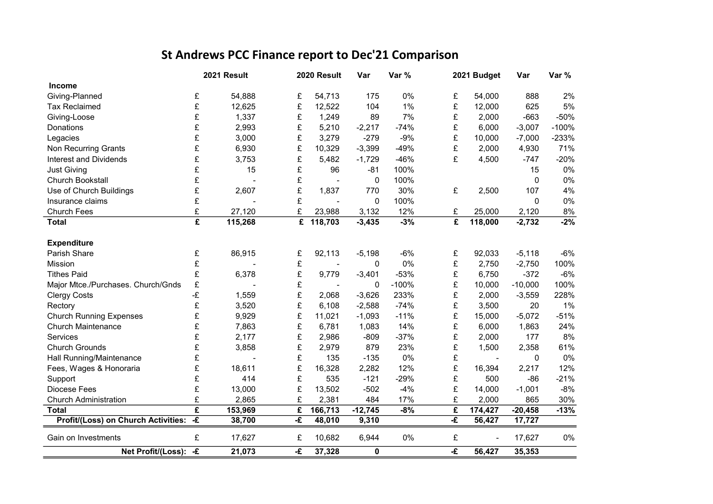## St Andrews PCC Finance report to Dec'21 Comparison

|                                            |                         | 2021 Result |                | 2020 Result    | Var          | Var %   |                | 2021 Budget    | Var          | Var %   |
|--------------------------------------------|-------------------------|-------------|----------------|----------------|--------------|---------|----------------|----------------|--------------|---------|
| Income                                     |                         |             |                |                |              |         |                |                |              |         |
| Giving-Planned                             | £                       | 54,888      | £              | 54,713         | 175          | 0%      | £              | 54,000         | 888          | 2%      |
| <b>Tax Reclaimed</b>                       | £                       | 12,625      | £              | 12,522         | 104          | 1%      | £              | 12,000         | 625          | 5%      |
| Giving-Loose                               | £                       | 1,337       | £              | 1,249          | 89           | 7%      | £              | 2,000          | $-663$       | $-50%$  |
| Donations                                  | £                       | 2,993       | £              | 5,210          | $-2,217$     | $-74%$  | £              | 6,000          | $-3,007$     | $-100%$ |
| Legacies                                   | £                       | 3,000       | £              | 3,279          | $-279$       | $-9%$   | £              | 10,000         | $-7,000$     | $-233%$ |
| Non Recurring Grants                       | £                       | 6,930       | £              | 10,329         | $-3,399$     | $-49%$  | £              | 2,000          | 4,930        | 71%     |
| <b>Interest and Dividends</b>              | £                       | 3,753       | £              | 5,482          | $-1,729$     | $-46%$  | £              | 4,500          | $-747$       | $-20%$  |
| <b>Just Giving</b>                         | £                       | 15          | £              | 96             | $-81$        | 100%    |                |                | 15           | 0%      |
| <b>Church Bookstall</b>                    | £                       |             | £              | $\overline{a}$ | $\mathbf{0}$ | 100%    |                |                | $\mathbf{0}$ | 0%      |
| Use of Church Buildings                    | £                       | 2,607       | £              | 1,837          | 770          | 30%     | £              | 2,500          | 107          | 4%      |
| Insurance claims                           | £                       |             | £              |                | $\Omega$     | 100%    |                |                | $\Omega$     | 0%      |
| <b>Church Fees</b>                         | £                       | 27,120      | £              | 23,988         | 3,132        | 12%     | £              | 25,000         | 2,120        | 8%      |
| <b>Total</b>                               | $\overline{\mathbf{f}}$ | 115,268     | $\mathbf{f}$   | 118,703        | $-3,435$     | $-3%$   | £              | 118,000        | $-2,732$     | $-2%$   |
|                                            |                         |             |                |                |              |         |                |                |              |         |
| <b>Expenditure</b>                         |                         |             |                |                |              |         |                |                |              |         |
| Parish Share                               | £                       | 86,915      | £              | 92,113         | $-5,198$     | $-6%$   | £              | 92,033         | $-5,118$     | $-6%$   |
| Mission                                    | £                       |             | £              | $\blacksquare$ | $\mathbf{0}$ | 0%      | £              | 2,750          | $-2,750$     | 100%    |
| <b>Tithes Paid</b>                         | £                       | 6,378       | £              | 9,779          | $-3,401$     | $-53%$  | £              | 6,750          | $-372$       | $-6%$   |
| Major Mtce./Purchases. Church/Gnds         | £                       |             | £              | $\blacksquare$ | $\mathbf{0}$ | $-100%$ | £              | 10,000         | $-10,000$    | 100%    |
| <b>Clergy Costs</b>                        | £-                      | 1,559       | £              | 2,068          | $-3,626$     | 233%    | £              | 2,000          | $-3,559$     | 228%    |
| Rectory                                    | £                       | 3,520       | £              | 6,108          | $-2,588$     | $-74%$  | £              | 3,500          | 20           | 1%      |
| <b>Church Running Expenses</b>             | £                       | 9,929       | £              | 11,021         | $-1,093$     | $-11%$  | £              | 15,000         | $-5,072$     | $-51%$  |
| <b>Church Maintenance</b>                  | £                       | 7,863       | £              | 6,781          | 1,083        | 14%     | £              | 6,000          | 1,863        | 24%     |
| Services                                   | £                       | 2,177       | £              | 2,986          | $-809$       | $-37%$  | £              | 2,000          | 177          | 8%      |
| <b>Church Grounds</b>                      | £                       | 3,858       | £              | 2,979          | 879          | 23%     | £              | 1,500          | 2,358        | 61%     |
| Hall Running/Maintenance                   | £                       |             | £              | 135            | $-135$       | 0%      | £              | $\blacksquare$ | 0            | 0%      |
| Fees, Wages & Honoraria                    | £                       | 18,611      | £              | 16,328         | 2,282        | 12%     | £              | 16,394         | 2,217        | 12%     |
| Support                                    | £                       | 414         | £              | 535            | $-121$       | $-29%$  | £              | 500            | $-86$        | $-21%$  |
| Diocese Fees                               | £                       | 13,000      | £              | 13,502         | $-502$       | $-4%$   | £              | 14,000         | $-1,001$     | $-8%$   |
| <b>Church Administration</b>               | £                       | 2,865       | £              | 2,381          | 484          | 17%     | £              | 2,000          | 865          | 30%     |
| <b>Total</b>                               | $\overline{\mathbf{f}}$ | 153,969     | £              | 166,713        | $-12,745$    | $-8%$   | £              | 174,427        | $-20,458$    | $-13%$  |
| <b>Profit/(Loss) on Church Activities:</b> | $\overline{f}$          | 38,700      | $\overline{f}$ | 48,010         | 9,310        |         | $\overline{f}$ | 56,427         | 17,727       |         |
| Gain on Investments                        | £                       | 17,627      | £              | 10,682         | 6,944        | 0%      | £              | $\overline{a}$ | 17,627       | $0\%$   |
| Net Profit/(Loss):                         | -£                      | 21,073      | £              | 37,328         | 0            |         | $\overline{f}$ | 56,427         | 35,353       |         |